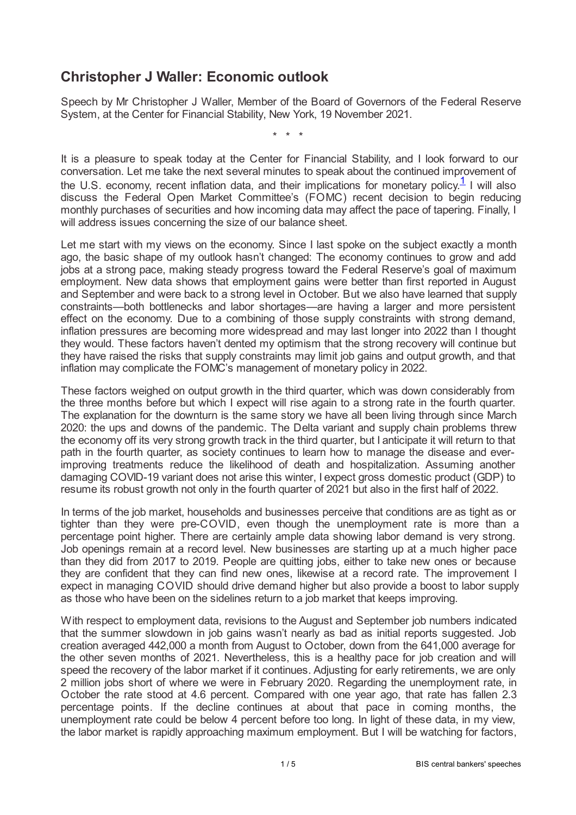## **Christopher J Waller: Economic outlook**

Speech by Mr Christopher J Waller, Member of the Board of Governors of the Federal Reserve System, at the Center for Financial Stability, New York, 19 November 2021.

<span id="page-0-0"></span>\* \* \*

It is a pleasure to speak today at the Center for Financial Stability, and I look forward to our conversation. Let me take the next several minutes to speak about the continued improvement of the U.S. economy, recent inflation data, and their implications for monetary policy. $1$  I will also discuss the Federal Open Market Committee's (FOMC) recent decision to begin reducing monthly purchases of securities and how incoming data may affect the pace of tapering. Finally, I will address issues concerning the size of our balance sheet.

Let me start with my views on the economy. Since I last spoke on the subject exactly a month ago, the basic shape of my outlook hasn't changed: The economy continues to grow and add jobs at a strong pace, making steady progress toward the Federal Reserve's goal of maximum employment. New data shows that employment gains were better than first reported in August and September and were back to a strong level in October. But we also have learned that supply constraints—both bottlenecks and labor shortages—are having a larger and more persistent effect on the economy. Due to a combining of those supply constraints with strong demand, inflation pressures are becoming more widespread and may last longer into 2022 than I thought they would. These factors haven't dented my optimism that the strong recovery will continue but they have raised the risks that supply constraints may limit job gains and output growth, and that inflation may complicate the FOMC's management of monetary policy in 2022.

These factors weighed on output growth in the third quarter, which was down considerably from the three months before but which I expect will rise again to a strong rate in the fourth quarter. The explanation for the downturn is the same story we have all been living through since March 2020: the ups and downs of the pandemic. The Delta variant and supply chain problems threw the economy off its very strong growth track in the third quarter, but I anticipate it will return to that path in the fourth quarter, as society continues to learn how to manage the disease and everimproving treatments reduce the likelihood of death and hospitalization. Assuming another damaging COVID-19 variant does not arise this winter, I expect gross domestic product (GDP) to resume its robust growth not only in the fourth quarter of 2021 but also in the first half of 2022.

In terms of the job market, households and businesses perceive that conditions are as tight as or tighter than they were pre-COVID, even though the unemployment rate is more than a percentage point higher. There are certainly ample data showing labor demand is very strong. Job openings remain at a record level. New businesses are starting up at a much higher pace than they did from 2017 to 2019. People are quitting jobs, either to take new ones or because they are confident that they can find new ones, likewise at a record rate. The improvement I expect in managing COVID should drive demand higher but also provide a boost to labor supply as those who have been on the sidelines return to a job market that keeps improving.

With respect to employment data, revisions to the August and September job numbers indicated that the summer slowdown in job gains wasn't nearly as bad as initial reports suggested. Job creation averaged 442,000 a month from August to October, down from the 641,000 average for the other seven months of 2021. Nevertheless, this is a healthy pace for job creation and will speed the recovery of the labor market if it continues. Adjusting for early retirements, we are only 2 million jobs short of where we were in February 2020. Regarding the unemployment rate, in October the rate stood at 4.6 percent. Compared with one year ago, that rate has fallen 2.3 percentage points. If the decline continues at about that pace in coming months, the unemployment rate could be below 4 percent before too long. In light of these data, in my view, the labor market is rapidly approaching maximum employment. But I will be watching for factors,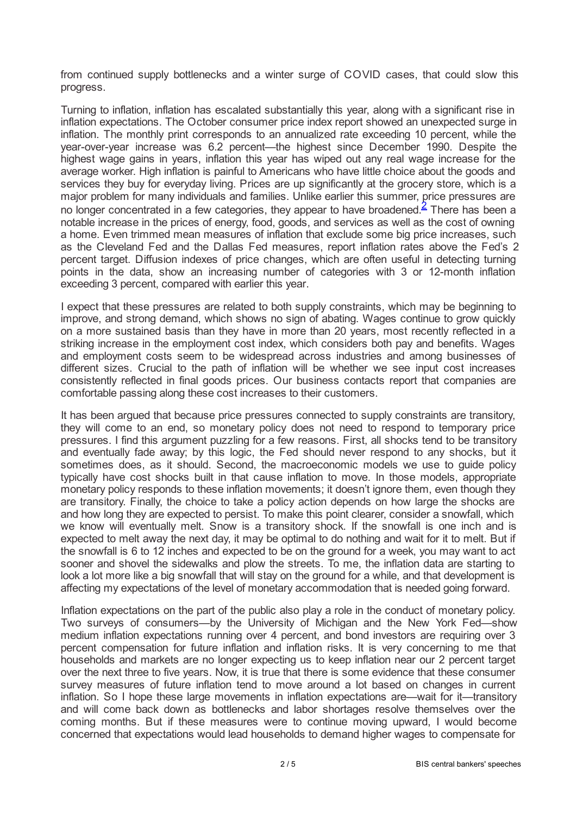from continued supply bottlenecks and a winter surge of COVID cases, that could slow this progress.

<span id="page-1-0"></span>Turning to inflation, inflation has escalated substantially this year, along with a significant rise in inflation expectations. The October consumer price index report showed an unexpected surge in inflation. The monthly print corresponds to an annualized rate exceeding 10 percent, while the year-over-year increase was 6.2 percent—the highest since December 1990. Despite the highest wage gains in years, inflation this year has wiped out any real wage increase for the average worker. High inflation is painful to Americans who have little choice about the goods and services they buy for everyday living. Prices are up significantly at the grocery store, which is a major problem for many individuals and families. Unlike earlier this summer, price pressures are no longer concentrated in a few categories, they appear to have broadened.<sup>[2](#page-3-1)</sup> There has been a notable increase in the prices of energy, food, goods, and services as well as the cost of owning a home. Even trimmed mean measures of inflation that exclude some big price increases, such as the Cleveland Fed and the Dallas Fed measures, report inflation rates above the Fed's 2 percent target. Diffusion indexes of price changes, which are often useful in detecting turning points in the data, show an increasing number of categories with 3 or 12-month inflation exceeding 3 percent, compared with earlier this year.

I expect that these pressures are related to both supply constraints, which may be beginning to improve, and strong demand, which shows no sign of abating. Wages continue to grow quickly on a more sustained basis than they have in more than 20 years, most recently reflected in a striking increase in the employment cost index, which considers both pay and benefits. Wages and employment costs seem to be widespread across industries and among businesses of different sizes. Crucial to the path of inflation will be whether we see input cost increases consistently reflected in final goods prices. Our business contacts report that companies are comfortable passing along these cost increases to their customers.

It has been argued that because price pressures connected to supply constraints are transitory, they will come to an end, so monetary policy does not need to respond to temporary price pressures. I find this argument puzzling for a few reasons. First, all shocks tend to be transitory and eventually fade away; by this logic, the Fed should never respond to any shocks, but it sometimes does, as it should. Second, the macroeconomic models we use to guide policy typically have cost shocks built in that cause inflation to move. In those models, appropriate monetary policy responds to these inflation movements; it doesn't ignore them, even though they are transitory. Finally, the choice to take a policy action depends on how large the shocks are and how long they are expected to persist. To make this point clearer, consider a snowfall, which we know will eventually melt. Snow is a transitory shock. If the snowfall is one inch and is expected to melt away the next day, it may be optimal to do nothing and wait for it to melt. But if the snowfall is 6 to 12 inches and expected to be on the ground for a week, you may want to act sooner and shovel the sidewalks and plow the streets. To me, the inflation data are starting to look a lot more like a big snowfall that will stay on the ground for a while, and that development is affecting my expectations of the level of monetary accommodation that is needed going forward.

Inflation expectations on the part of the public also play a role in the conduct of monetary policy. Two surveys of consumers—by the University of Michigan and the New York Fed—show medium inflation expectations running over 4 percent, and bond investors are requiring over 3 percent compensation for future inflation and inflation risks. It is very concerning to me that households and markets are no longer expecting us to keep inflation near our 2 percent target over the next three to five years. Now, it is true that there is some evidence that these consumer survey measures of future inflation tend to move around a lot based on changes in current inflation. So I hope these large movements in inflation expectations are—wait for it—transitory and will come back down as bottlenecks and labor shortages resolve themselves over the coming months. But if these measures were to continue moving upward, I would become concerned that expectations would lead households to demand higher wages to compensate for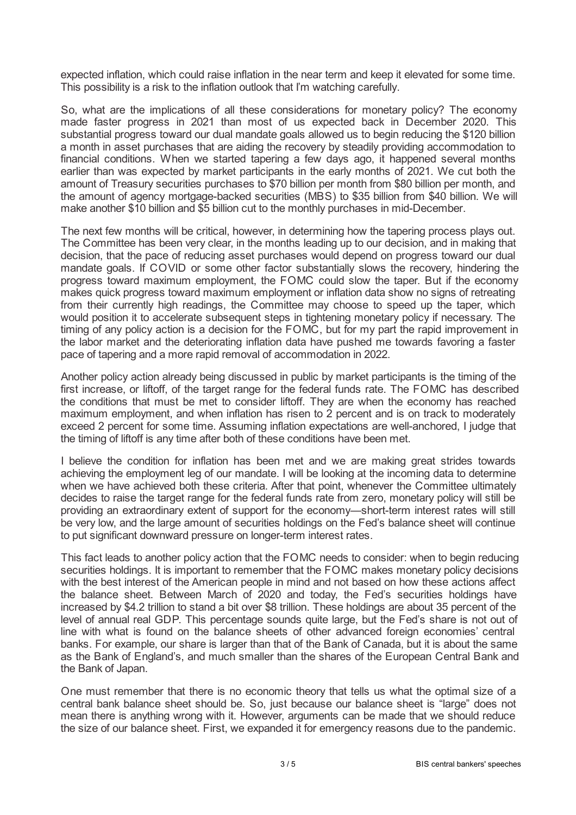expected inflation, which could raise inflation in the near term and keep it elevated for some time. This possibility is a risk to the inflation outlook that I'm watching carefully.

So, what are the implications of all these considerations for monetary policy? The economy made faster progress in 2021 than most of us expected back in December 2020. This substantial progress toward our dual mandate goals allowed us to begin reducing the \$120 billion a month in asset purchases that are aiding the recovery by steadily providing accommodation to financial conditions. When we started tapering a few days ago, it happened several months earlier than was expected by market participants in the early months of 2021. We cut both the amount of Treasury securities purchases to \$70 billion per month from \$80 billion per month, and the amount of agency mortgage-backed securities (MBS) to \$35 billion from \$40 billion. We will make another \$10 billion and \$5 billion cut to the monthly purchases in mid-December.

The next few months will be critical, however, in determining how the tapering process plays out. The Committee has been very clear, in the months leading up to our decision, and in making that decision, that the pace of reducing asset purchases would depend on progress toward our dual mandate goals. If COVID or some other factor substantially slows the recovery, hindering the progress toward maximum employment, the FOMC could slow the taper. But if the economy makes quick progress toward maximum employment or inflation data show no signs of retreating from their currently high readings, the Committee may choose to speed up the taper, which would position it to accelerate subsequent steps in tightening monetary policy if necessary. The timing of any policy action is a decision for the FOMC, but for my part the rapid improvement in the labor market and the deteriorating inflation data have pushed me towards favoring a faster pace of tapering and a more rapid removal of accommodation in 2022.

Another policy action already being discussed in public by market participants is the timing of the first increase, or liftoff, of the target range for the federal funds rate. The FOMC has described the conditions that must be met to consider liftoff. They are when the economy has reached maximum employment, and when inflation has risen to 2 percent and is on track to moderately exceed 2 percent for some time. Assuming inflation expectations are well-anchored, I judge that the timing of liftoff is any time after both of these conditions have been met.

I believe the condition for inflation has been met and we are making great strides towards achieving the employment leg of our mandate. I will be looking at the incoming data to determine when we have achieved both these criteria. After that point, whenever the Committee ultimately decides to raise the target range for the federal funds rate from zero, monetary policy will still be providing an extraordinary extent of support for the economy—short-term interest rates will still be very low, and the large amount of securities holdings on the Fed's balance sheet will continue to put significant downward pressure on longer-term interest rates.

This fact leads to another policy action that the FOMC needs to consider: when to begin reducing securities holdings. It is important to remember that the FOMC makes monetary policy decisions with the best interest of the American people in mind and not based on how these actions affect the balance sheet. Between March of 2020 and today, the Fed's securities holdings have increased by \$4.2 trillion to stand a bit over \$8 trillion. These holdings are about 35 percent of the level of annual real GDP. This percentage sounds quite large, but the Fed's share is not out of line with what is found on the balance sheets of other advanced foreign economies' central banks. For example, our share is larger than that of the Bank of Canada, but it is about the same as the Bank of England's, and much smaller than the shares of the European Central Bank and the Bank of Japan.

One must remember that there is no economic theory that tells us what the optimal size of a central bank balance sheet should be. So, just because our balance sheet is "large" does not mean there is anything wrong with it. However, arguments can be made that we should reduce the size of our balance sheet. First, we expanded it for emergency reasons due to the pandemic.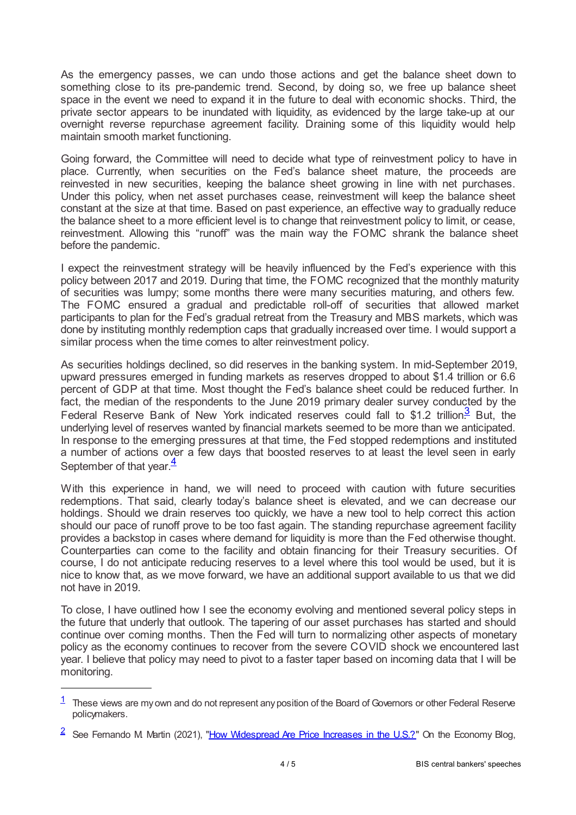As the emergency passes, we can undo those actions and get the balance sheet down to something close to its pre-pandemic trend. Second, by doing so, we free up balance sheet space in the event we need to expand it in the future to deal with economic shocks. Third, the private sector appears to be inundated with liquidity, as evidenced by the large take-up at our overnight reverse repurchase agreement facility. Draining some of this liquidity would help maintain smooth market functioning.

Going forward, the Committee will need to decide what type of reinvestment policy to have in place. Currently, when securities on the Fed's balance sheet mature, the proceeds are reinvested in new securities, keeping the balance sheet growing in line with net purchases. Under this policy, when net asset purchases cease, reinvestment will keep the balance sheet constant at the size at that time. Based on past experience, an effective way to gradually reduce the balance sheet to a more efficient level is to change that reinvestment policy to limit, or cease, reinvestment. Allowing this "runoff" was the main way the FOMC shrank the balance sheet before the pandemic.

I expect the reinvestment strategy will be heavily influenced by the Fed's experience with this policy between 2017 and 2019. During that time, the FOMC recognized that the monthly maturity of securities was lumpy; some months there were many securities maturing, and others few. The FOMC ensured a gradual and predictable roll-off of securities that allowed market participants to plan for the Fed's gradual retreat from the Treasury and MBS markets, which was done by instituting monthly redemption caps that gradually increased over time. I would support a similar process when the time comes to alter reinvestment policy.

<span id="page-3-2"></span>As securities holdings declined, so did reserves in the banking system. In mid-September 2019, upward pressures emerged in funding markets as reserves dropped to about \$1.4 trillion or 6.6 percent of GDP at that time. Most thought the Fed's balance sheet could be reduced further. In fact, the median of the respondents to the June 2019 primary dealer survey conducted by the Federal Reserve Bank of New York indicated reserves could fall to \$1.2 trillion.<sup>[3](#page-4-0)</sup> But, the underlying level of reserves wanted by financial markets seemed to be more than we anticipated. In response to the emerging pressures at that time, the Fed stopped redemptions and instituted a number of actions over a few days that boosted reserves to at least the level seen in early September of that year.<sup>[4](#page-4-1)</sup>

<span id="page-3-3"></span>With this experience in hand, we will need to proceed with caution with future securities redemptions. That said, clearly today's balance sheet is elevated, and we can decrease our holdings. Should we drain reserves too quickly, we have a new tool to help correct this action should our pace of runoff prove to be too fast again. The standing repurchase agreement facility provides a backstop in cases where demand for liquidity is more than the Fed otherwise thought. Counterparties can come to the facility and obtain financing for their Treasury securities. Of course, I do not anticipate reducing reserves to a level where this tool would be used, but it is nice to know that, as we move forward, we have an additional support available to us that we did not have in 2019.

To close, I have outlined how I see the economy evolving and mentioned several policy steps in the future that underly that outlook. The tapering of our asset purchases has started and should continue over coming months. Then the Fed will turn to normalizing other aspects of monetary policy as the economy continues to recover from the severe COVID shock we encountered last year. I believe that policy may need to pivot to a faster taper based on incoming data that I will be monitoring.

<span id="page-3-0"></span> $1$  These views are my own and do not represent any position of the Board of Governors or other Federal Reserve policymakers.

<span id="page-3-1"></span><sup>&</sup>lt;sup>2</sup> See Fernando M Martin (2021), "How [Widespread](www.stlouisfed.org/on-the-economy/2021/october/how-widespread-price-increases) Are Price Increases in the U.S.?" On the Economy Blog,